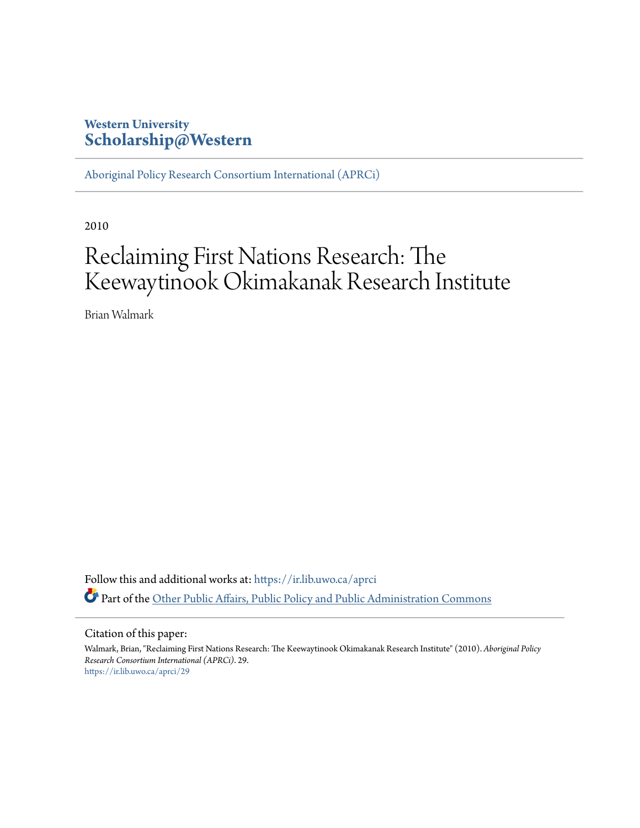# **Western University [Scholarship@Western](https://ir.lib.uwo.ca?utm_source=ir.lib.uwo.ca%2Faprci%2F29&utm_medium=PDF&utm_campaign=PDFCoverPages)**

[Aboriginal Policy Research Consortium International \(APRCi\)](https://ir.lib.uwo.ca/aprci?utm_source=ir.lib.uwo.ca%2Faprci%2F29&utm_medium=PDF&utm_campaign=PDFCoverPages)

2010

# Reclaiming First Nations Research: The Keewaytinook Okimakanak Research Institute

Brian Walmark

Follow this and additional works at: [https://ir.lib.uwo.ca/aprci](https://ir.lib.uwo.ca/aprci?utm_source=ir.lib.uwo.ca%2Faprci%2F29&utm_medium=PDF&utm_campaign=PDFCoverPages) Part of the [Other Public Affairs, Public Policy and Public Administration Commons](http://network.bepress.com/hgg/discipline/403?utm_source=ir.lib.uwo.ca%2Faprci%2F29&utm_medium=PDF&utm_campaign=PDFCoverPages)

#### Citation of this paper:

Walmark, Brian, "Reclaiming First Nations Research: The Keewaytinook Okimakanak Research Institute" (2010). *Aboriginal Policy Research Consortium International (APRCi)*. 29. [https://ir.lib.uwo.ca/aprci/29](https://ir.lib.uwo.ca/aprci/29?utm_source=ir.lib.uwo.ca%2Faprci%2F29&utm_medium=PDF&utm_campaign=PDFCoverPages)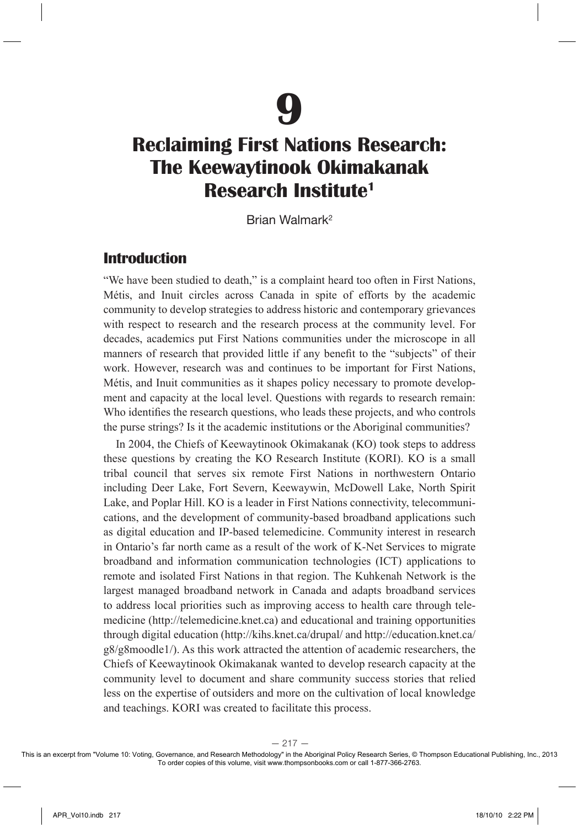

# **Reclaiming First Nations Research: The Keewaytinook Okimakanak Research Institute1**

Brian Walmark2

#### **Introduction**

"We have been studied to death," is a complaint heard too often in First Nations, Métis, and Inuit circles across Canada in spite of efforts by the academic community to develop strategies to address historic and contemporary grievances with respect to research and the research process at the community level. For decades, academics put First Nations communities under the microscope in all manners of research that provided little if any benefit to the "subjects" of their work. However, research was and continues to be important for First Nations, Métis, and Inuit communities as it shapes policy necessary to promote development and capacity at the local level. Questions with regards to research remain: Who identifies the research questions, who leads these projects, and who controls the purse strings? Is it the academic institutions or the Aboriginal communities?

In 2004, the Chiefs of Keewaytinook Okimakanak (KO) took steps to address these questions by creating the KO Research Institute (KORI). KO is a small tribal council that serves six remote First Nations in northwestern Ontario including Deer Lake, Fort Severn, Keewaywin, McDowell Lake, North Spirit Lake, and Poplar Hill. KO is a leader in First Nations connectivity, telecommunications, and the development of community-based broadband applications such as digital education and IP-based telemedicine. Community interest in research in Ontario's far north came as a result of the work of K-Net Services to migrate broadband and information communication technologies (ICT) applications to remote and isolated First Nations in that region. The Kuhkenah Network is the largest managed broadband network in Canada and adapts broadband services to address local priorities such as improving access to health care through telemedicine (http://telemedicine.knet.ca) and educational and training opportunities through digital education (http://kihs.knet.ca/drupal/ and http://education.knet.ca/ g8/g8moodle1/). As this work attracted the attention of academic researchers, the Chiefs of Keewaytinook Okimakanak wanted to develop research capacity at the community level to document and share community success stories that relied less on the expertise of outsiders and more on the cultivation of local knowledge and teachings. KORI was created to facilitate this process.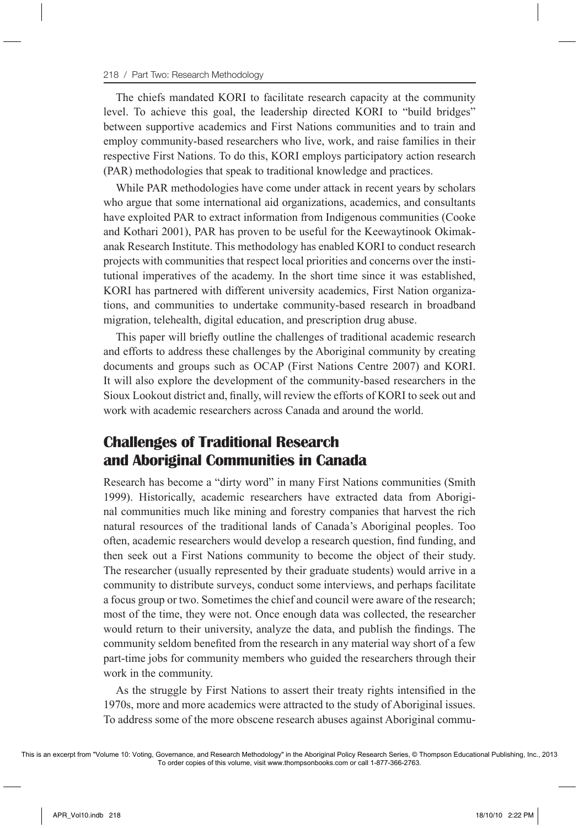The chiefs mandated KORI to facilitate research capacity at the community level. To achieve this goal, the leadership directed KORI to "build bridges" between supportive academics and First Nations communities and to train and employ community-based researchers who live, work, and raise families in their respective First Nations. To do this, KORI employs participatory action research (PAR) methodologies that speak to traditional knowledge and practices.

While PAR methodologies have come under attack in recent years by scholars who argue that some international aid organizations, academics, and consultants have exploited PAR to extract information from Indigenous communities (Cooke and Kothari 2001), PAR has proven to be useful for the Keewaytinook Okimakanak Research Institute. This methodology has enabled KORI to conduct research projects with communities that respect local priorities and concerns over the institutional imperatives of the academy. In the short time since it was established, KORI has partnered with different university academics, First Nation organizations, and communities to undertake community-based research in broadband migration, telehealth, digital education, and prescription drug abuse.

This paper will briefly outline the challenges of traditional academic research and efforts to address these challenges by the Aboriginal community by creating documents and groups such as OCAP (First Nations Centre 2007) and KORI. It will also explore the development of the community-based researchers in the Sioux Lookout district and, finally, will review the efforts of KORI to seek out and work with academic researchers across Canada and around the world.

## **Challenges of Traditional Research and Aboriginal Communities in Canada**

Research has become a "dirty word" in many First Nations communities (Smith 1999). Historically, academic researchers have extracted data from Aboriginal communities much like mining and forestry companies that harvest the rich natural resources of the traditional lands of Canada's Aboriginal peoples. Too often, academic researchers would develop a research question, find funding, and then seek out a First Nations community to become the object of their study. The researcher (usually represented by their graduate students) would arrive in a community to distribute surveys, conduct some interviews, and perhaps facilitate a focus group or two. Sometimes the chief and council were aware of the research; most of the time, they were not. Once enough data was collected, the researcher would return to their university, analyze the data, and publish the findings. The community seldom benefited from the research in any material way short of a few part-time jobs for community members who guided the researchers through their work in the community.

As the struggle by First Nations to assert their treaty rights intensified in the 1970s, more and more academics were attracted to the study of Aboriginal issues. To address some of the more obscene research abuses against Aboriginal commu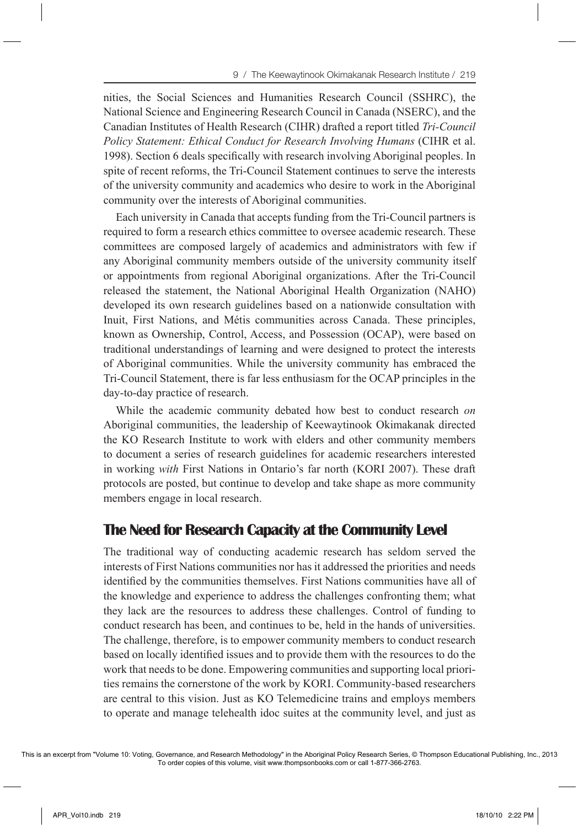nities, the Social Sciences and Humanities Research Council (SSHRC), the National Science and Engineering Research Council in Canada (NSERC), and the Canadian Institutes of Health Research (CIHR) drafted a report titled *Tri-Council Policy Statement: Ethical Conduct for Research Involving Humans* (CIHR et al. 1998). Section 6 deals specifically with research involving Aboriginal peoples. In spite of recent reforms, the Tri-Council Statement continues to serve the interests of the university community and academics who desire to work in the Aboriginal community over the interests of Aboriginal communities.

Each university in Canada that accepts funding from the Tri-Council partners is required to form a research ethics committee to oversee academic research. These committees are composed largely of academics and administrators with few if any Aboriginal community members outside of the university community itself or appointments from regional Aboriginal organizations. After the Tri-Council released the statement, the National Aboriginal Health Organization (NAHO) developed its own research guidelines based on a nationwide consultation with Inuit, First Nations, and Métis communities across Canada. These principles, known as Ownership, Control, Access, and Possession (OCAP), were based on traditional understandings of learning and were designed to protect the interests of Aboriginal communities. While the university community has embraced the Tri-Council Statement, there is far less enthusiasm for the OCAP principles in the day-to-day practice of research.

While the academic community debated how best to conduct research *on* Aboriginal communities, the leadership of Keewaytinook Okimakanak directed the KO Research Institute to work with elders and other community members to document a series of research guidelines for academic researchers interested in working *with* First Nations in Ontario's far north (KORI 2007). These draft protocols are posted, but continue to develop and take shape as more community members engage in local research.

#### **The Need for Research Capacity at the Community Level**

The traditional way of conducting academic research has seldom served the interests of First Nations communities nor has it addressed the priorities and needs identified by the communities themselves. First Nations communities have all of the knowledge and experience to address the challenges confronting them; what they lack are the resources to address these challenges. Control of funding to conduct research has been, and continues to be, held in the hands of universities. The challenge, therefore, is to empower community members to conduct research based on locally identified issues and to provide them with the resources to do the work that needs to be done. Empowering communities and supporting local priorities remains the cornerstone of the work by KORI. Community-based researchers are central to this vision. Just as KO Telemedicine trains and employs members to operate and manage telehealth idoc suites at the community level, and just as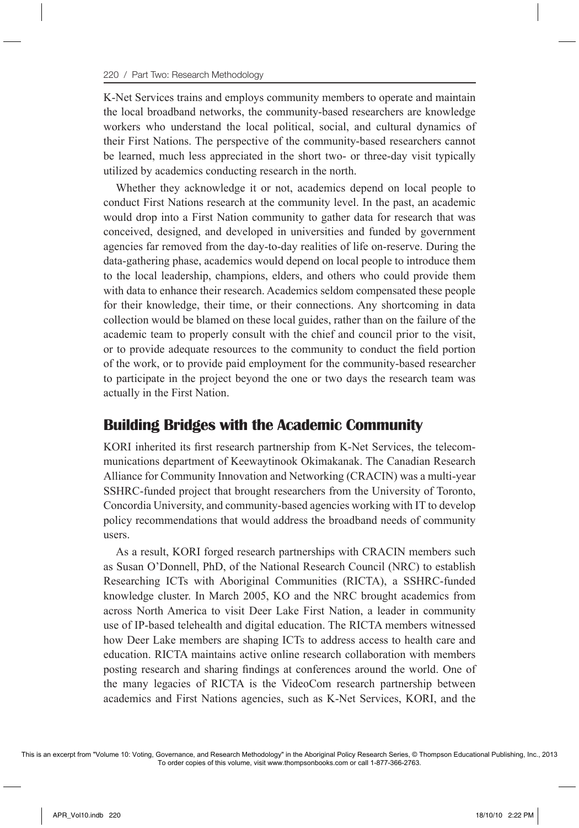K-Net Services trains and employs community members to operate and maintain the local broadband networks, the community-based researchers are knowledge workers who understand the local political, social, and cultural dynamics of their First Nations. The perspective of the community-based researchers cannot be learned, much less appreciated in the short two- or three-day visit typically utilized by academics conducting research in the north.

Whether they acknowledge it or not, academics depend on local people to conduct First Nations research at the community level. In the past, an academic would drop into a First Nation community to gather data for research that was conceived, designed, and developed in universities and funded by government agencies far removed from the day-to-day realities of life on-reserve. During the data-gathering phase, academics would depend on local people to introduce them to the local leadership, champions, elders, and others who could provide them with data to enhance their research. Academics seldom compensated these people for their knowledge, their time, or their connections. Any shortcoming in data collection would be blamed on these local guides, rather than on the failure of the academic team to properly consult with the chief and council prior to the visit, or to provide adequate resources to the community to conduct the field portion of the work, or to provide paid employment for the community-based researcher to participate in the project beyond the one or two days the research team was actually in the First Nation.

#### **Building Bridges with the Academic Community**

KORI inherited its first research partnership from K-Net Services, the telecommunications department of Keewaytinook Okimakanak. The Canadian Research Alliance for Community Innovation and Networking (CRACIN) was a multi-year SSHRC-funded project that brought researchers from the University of Toronto, Concordia University, and community-based agencies working with IT to develop policy recommendations that would address the broadband needs of community users.

As a result, KORI forged research partnerships with CRACIN members such as Susan O'Donnell, PhD, of the National Research Council (NRC) to establish Researching ICTs with Aboriginal Communities (RICTA), a SSHRC-funded knowledge cluster. In March 2005, KO and the NRC brought academics from across North America to visit Deer Lake First Nation, a leader in community use of IP-based telehealth and digital education. The RICTA members witnessed how Deer Lake members are shaping ICTs to address access to health care and education. RICTA maintains active online research collaboration with members posting research and sharing findings at conferences around the world. One of the many legacies of RICTA is the VideoCom research partnership between academics and First Nations agencies, such as K-Net Services, KORI, and the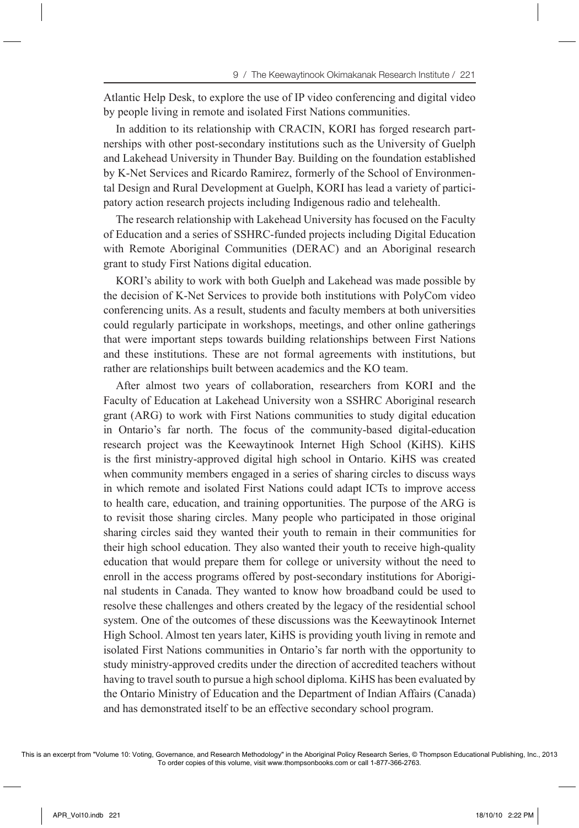Atlantic Help Desk, to explore the use of IP video conferencing and digital video by people living in remote and isolated First Nations communities.

In addition to its relationship with CRACIN, KORI has forged research partnerships with other post-secondary institutions such as the University of Guelph and Lakehead University in Thunder Bay. Building on the foundation established by K-Net Services and Ricardo Ramirez, formerly of the School of Environmental Design and Rural Development at Guelph, KORI has lead a variety of participatory action research projects including Indigenous radio and telehealth.

The research relationship with Lakehead University has focused on the Faculty of Education and a series of SSHRC-funded projects including Digital Education with Remote Aboriginal Communities (DERAC) and an Aboriginal research grant to study First Nations digital education.

KORI's ability to work with both Guelph and Lakehead was made possible by the decision of K-Net Services to provide both institutions with PolyCom video conferencing units. As a result, students and faculty members at both universities could regularly participate in workshops, meetings, and other online gatherings that were important steps towards building relationships between First Nations and these institutions. These are not formal agreements with institutions, but rather are relationships built between academics and the KO team.

After almost two years of collaboration, researchers from KORI and the Faculty of Education at Lakehead University won a SSHRC Aboriginal research grant (ARG) to work with First Nations communities to study digital education in Ontario's far north. The focus of the community-based digital-education research project was the Keewaytinook Internet High School (KiHS). KiHS is the first ministry-approved digital high school in Ontario. KiHS was created when community members engaged in a series of sharing circles to discuss ways in which remote and isolated First Nations could adapt ICTs to improve access to health care, education, and training opportunities. The purpose of the ARG is to revisit those sharing circles. Many people who participated in those original sharing circles said they wanted their youth to remain in their communities for their high school education. They also wanted their youth to receive high-quality education that would prepare them for college or university without the need to enroll in the access programs offered by post-secondary institutions for Aboriginal students in Canada. They wanted to know how broadband could be used to resolve these challenges and others created by the legacy of the residential school system. One of the outcomes of these discussions was the Keewaytinook Internet High School. Almost ten years later, KiHS is providing youth living in remote and isolated First Nations communities in Ontario's far north with the opportunity to study ministry-approved credits under the direction of accredited teachers without having to travel south to pursue a high school diploma. KiHS has been evaluated by the Ontario Ministry of Education and the Department of Indian Affairs (Canada) and has demonstrated itself to be an effective secondary school program.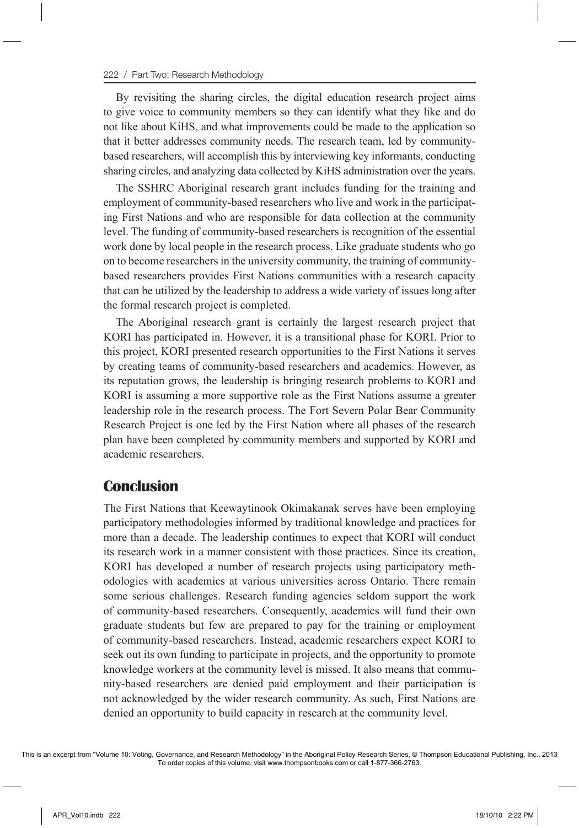By revisiting the sharing circles, the digital education research project aims to give voice to community members so they can identify what they like and do not like about KiHS, and what improvements could be made to the application so that it better addresses community needs. The research team, led by communitybased researchers, will accomplish this by interviewing key informants, conducting sharing circles, and analyzing data collected by KiHS administration over the years.

The SSHRC Aboriginal research grant includes funding for the training and employment of community-based researchers who live and work in the participating First Nations and who are responsible for data collection at the community level. The funding of community-based researchers is recognition of the essential work done by local people in the research process. Like graduate students who go on to become researchers in the university community, the training of communitybased researchers provides First Nations communities with a research capacity that can be utilized by the leadership to address a wide variety of issues long after the formal research project is completed.

The Aboriginal research grant is certainly the largest research project that KORI has participated in. However, it is a transitional phase for KORI. Prior to this project, KORI presented research opportunities to the First Nations it serves by creating teams of community-based researchers and academics. However, as its reputation grows, the leadership is bringing research problems to KORI and KORI is assuming a more supportive role as the First Nations assume a greater leadership role in the research process. The Fort Severn Polar Bear Community Research Project is one led by the First Nation where all phases of the research plan have been completed by community members and supported by KORI and academic researchers.

#### **Conclusion**

The First Nations that Keewaytinook Okimakanak serves have been employing participatory methodologies informed by traditional knowledge and practices for more than a decade. The leadership continues to expect that KORI will conduct its research work in a manner consistent with those practices. Since its creation, KORI has developed a number of research projects using participatory methodologies with academics at various universities across Ontario. There remain some serious challenges. Research funding agencies seldom support the work of community-based researchers. Consequently, academics will fund their own graduate students but few are prepared to pay for the training or employment of community-based researchers. Instead, academic researchers expect KORI to seek out its own funding to participate in projects, and the opportunity to promote knowledge workers at the community level is missed. It also means that community-based researchers are denied paid employment and their participation is not acknowledged by the wider research community. As such, First Nations are denied an opportunity to build capacity in research at the community level.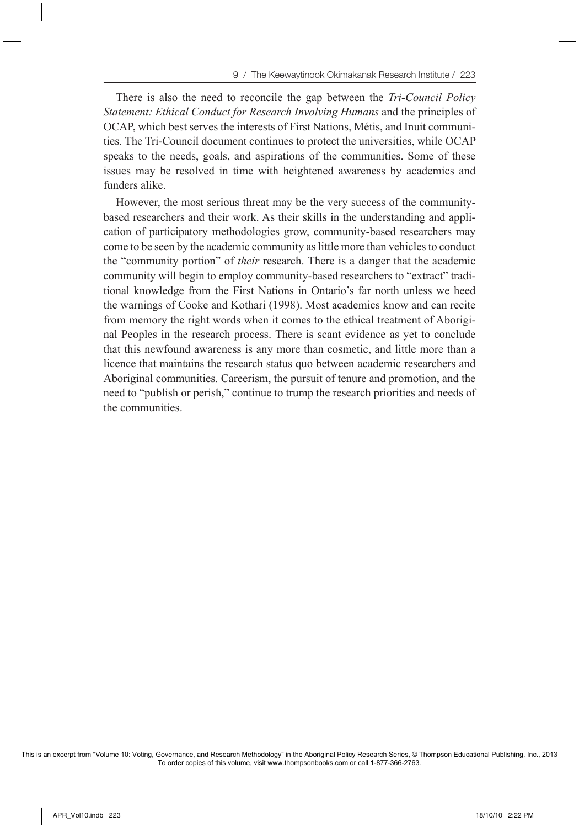There is also the need to reconcile the gap between the *Tri-Council Policy Statement: Ethical Conduct for Research Involving Humans* and the principles of OCAP, which best serves the interests of First Nations, Métis, and Inuit communities. The Tri-Council document continues to protect the universities, while OCAP speaks to the needs, goals, and aspirations of the communities. Some of these issues may be resolved in time with heightened awareness by academics and funders alike.

However, the most serious threat may be the very success of the communitybased researchers and their work. As their skills in the understanding and application of participatory methodologies grow, community-based researchers may come to be seen by the academic community as little more than vehicles to conduct the "community portion" of *their* research. There is a danger that the academic community will begin to employ community-based researchers to "extract" traditional knowledge from the First Nations in Ontario's far north unless we heed the warnings of Cooke and Kothari (1998). Most academics know and can recite from memory the right words when it comes to the ethical treatment of Aboriginal Peoples in the research process. There is scant evidence as yet to conclude that this newfound awareness is any more than cosmetic, and little more than a licence that maintains the research status quo between academic researchers and Aboriginal communities. Careerism, the pursuit of tenure and promotion, and the need to "publish or perish," continue to trump the research priorities and needs of the communities.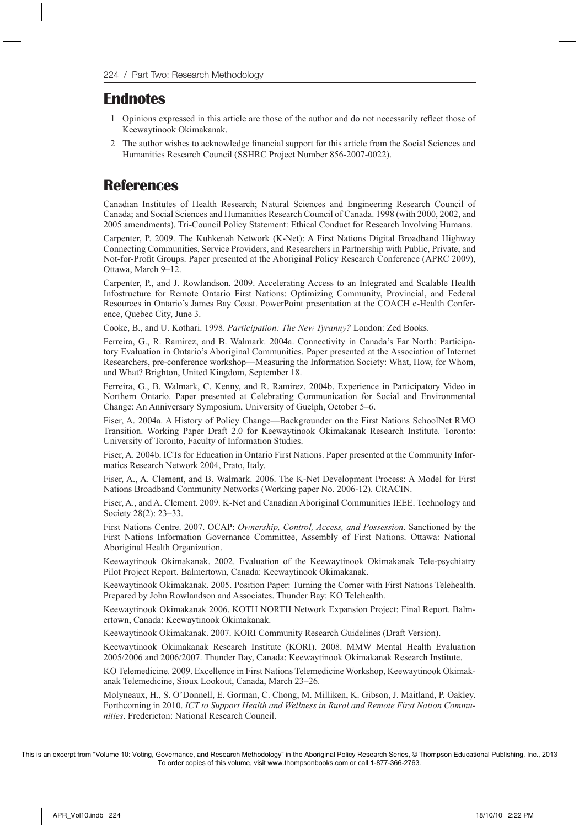#### **Endnotes**

- 1 Opinions expressed in this article are those of the author and do not necessarily reflect those of Keewaytinook Okimakanak.
- 2 The author wishes to acknowledge financial support for this article from the Social Sciences and Humanities Research Council (SSHRC Project Number 856-2007-0022).

### **References**

Canadian Institutes of Health Research; Natural Sciences and Engineering Research Council of Canada; and Social Sciences and Humanities Research Council of Canada. 1998 (with 2000, 2002, and 2005 amendments). Tri-Council Policy Statement: Ethical Conduct for Research Involving Humans.

Carpenter, P. 2009. The Kuhkenah Network (K-Net): A First Nations Digital Broadband Highway Connecting Communities, Service Providers, and Researchers in Partnership with Public, Private, and Not-for-Profit Groups. Paper presented at the Aboriginal Policy Research Conference (APRC 2009), Ottawa, March 9–12.

Carpenter, P., and J. Rowlandson. 2009. Accelerating Access to an Integrated and Scalable Health Infostructure for Remote Ontario First Nations: Optimizing Community, Provincial, and Federal Resources in Ontario's James Bay Coast. PowerPoint presentation at the COACH e-Health Conference, Quebec City, June 3.

Cooke, B., and U. Kothari. 1998. *Participation: The New Tyranny?* London: Zed Books.

Ferreira, G., R. Ramirez, and B. Walmark. 2004a. Connectivity in Canada's Far North: Participatory Evaluation in Ontario's Aboriginal Communities. Paper presented at the Association of Internet Researchers, pre-conference workshop—Measuring the Information Society: What, How, for Whom, and What? Brighton, United Kingdom, September 18.

Ferreira, G., B. Walmark, C. Kenny, and R. Ramirez. 2004b. Experience in Participatory Video in Northern Ontario. Paper presented at Celebrating Communication for Social and Environmental Change: An Anniversary Symposium, University of Guelph, October 5–6.

Fiser, A. 2004a. A History of Policy Change—Backgrounder on the First Nations SchoolNet RMO Transition. Working Paper Draft 2.0 for Keewaytinook Okimakanak Research Institute. Toronto: University of Toronto, Faculty of Information Studies.

Fiser, A. 2004b. ICTs for Education in Ontario First Nations. Paper presented at the Community Informatics Research Network 2004, Prato, Italy.

Fiser, A., A. Clement, and B. Walmark. 2006. The K-Net Development Process: A Model for First Nations Broadband Community Networks (Working paper No. 2006-12). CRACIN.

Fiser, A., and A. Clement. 2009. K-Net and Canadian Aboriginal Communities IEEE. Technology and Society 28(2): 23–33.

First Nations Centre. 2007. OCAP: *Ownership, Control, Access, and Possession*. Sanctioned by the First Nations Information Governance Committee, Assembly of First Nations. Ottawa: National Aboriginal Health Organization.

Keewaytinook Okimakanak. 2002. Evaluation of the Keewaytinook Okimakanak Tele-psychiatry Pilot Project Report. Balmertown, Canada: Keewaytinook Okimakanak.

Keewaytinook Okimakanak. 2005. Position Paper: Turning the Corner with First Nations Telehealth. Prepared by John Rowlandson and Associates. Thunder Bay: KO Telehealth.

Keewaytinook Okimakanak 2006. KOTH NORTH Network Expansion Project: Final Report. Balmertown, Canada: Keewaytinook Okimakanak.

Keewaytinook Okimakanak. 2007. KORI Community Research Guidelines (Draft Version).

Keewaytinook Okimakanak Research Institute (KORI). 2008. MMW Mental Health Evaluation 2005/2006 and 2006/2007. Thunder Bay, Canada: Keewaytinook Okimakanak Research Institute.

KO Telemedicine. 2009. Excellence in First Nations Telemedicine Workshop, Keewaytinook Okimakanak Telemedicine, Sioux Lookout, Canada, March 23–26.

Molyneaux, H., S. O'Donnell, E. Gorman, C. Chong, M. Milliken, K. Gibson, J. Maitland, P. Oakley. Forthcoming in 2010. *ICT to Support Health and Wellness in Rural and Remote First Nation Communities*. Fredericton: National Research Council.